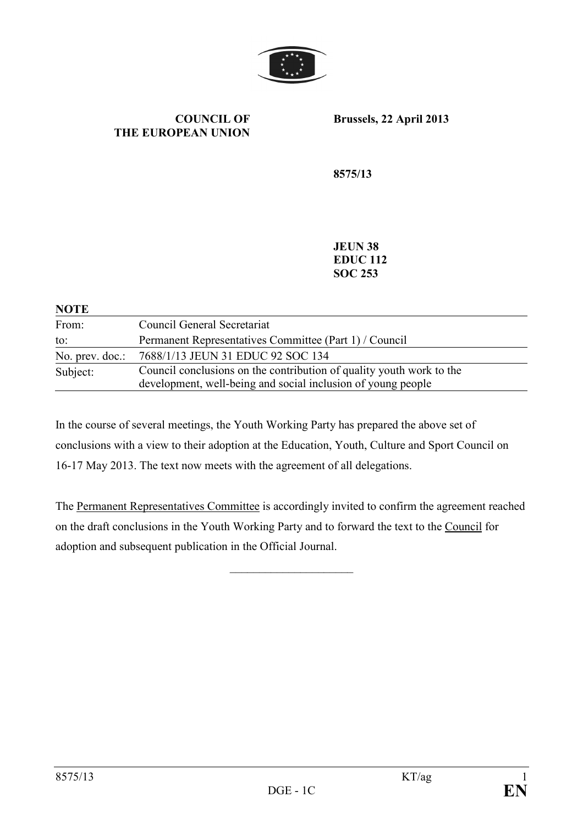

#### **COUNCIL OF THE EUROPEAN UNION**

**Brussels, 22 April 2013** 

**8575/13** 

**JEUN 38 EDUC 112 SOC 253** 

| <b>NOTE</b>     |                                                                                                                                      |
|-----------------|--------------------------------------------------------------------------------------------------------------------------------------|
| From:           | Council General Secretariat                                                                                                          |
| to:             | Permanent Representatives Committee (Part 1) / Council                                                                               |
| No. prev. doc.: | 7688/1/13 JEUN 31 EDUC 92 SOC 134                                                                                                    |
| Subject:        | Council conclusions on the contribution of quality youth work to the<br>development, well-being and social inclusion of young people |

In the course of several meetings, the Youth Working Party has prepared the above set of conclusions with a view to their adoption at the Education, Youth, Culture and Sport Council on 16-17 May 2013. The text now meets with the agreement of all delegations.

The Permanent Representatives Committee is accordingly invited to confirm the agreement reached on the draft conclusions in the Youth Working Party and to forward the text to the Council for adoption and subsequent publication in the Official Journal.

 $\overline{\phantom{a}}$  , and the set of the set of the set of the set of the set of the set of the set of the set of the set of the set of the set of the set of the set of the set of the set of the set of the set of the set of the s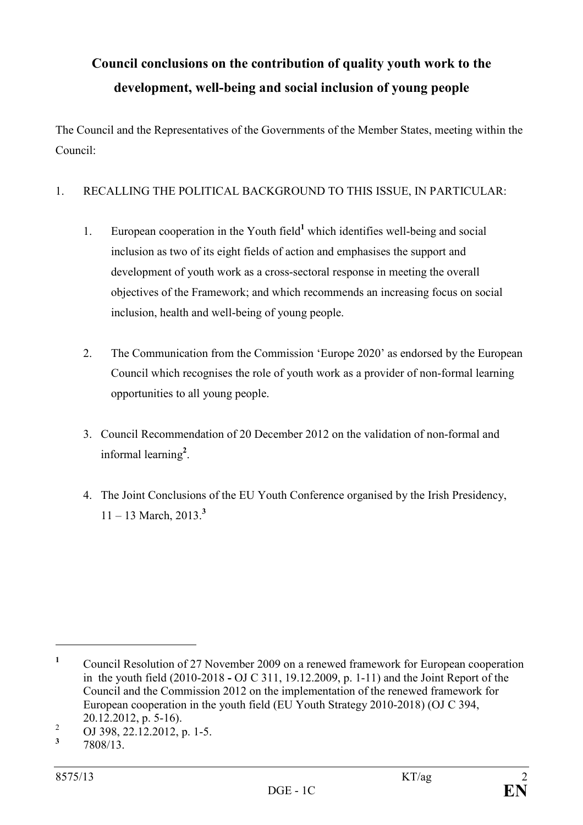# **Council conclusions on the contribution of quality youth work to the development, well-being and social inclusion of young people**

The Council and the Representatives of the Governments of the Member States, meeting within the Council:

## 1. RECALLING THE POLITICAL BACKGROUND TO THIS ISSUE, IN PARTICULAR:

- 1. European cooperation in the Youth field<sup>1</sup> which identifies well-being and social inclusion as two of its eight fields of action and emphasises the support and development of youth work as a cross-sectoral response in meeting the overall objectives of the Framework; and which recommends an increasing focus on social inclusion, health and well-being of young people.
- 2. The Communication from the Commission 'Europe 2020' as endorsed by the European Council which recognises the role of youth work as a provider of non-formal learning opportunities to all young people.
- 3. Council Recommendation of 20 December 2012 on the validation of non-formal and informal learning**<sup>2</sup>** .
- 4. The Joint Conclusions of the EU Youth Conference organised by the Irish Presidency, 11 – 13 March, 2013.**<sup>3</sup>**

 $\overline{a}$ 

**<sup>1</sup>** Council Resolution of 27 November 2009 on a renewed framework for European cooperation in the youth field (2010-2018 **-** OJ C 311, 19.12.2009, p. 1-11) and the Joint Report of the Council and the Commission 2012 on the implementation of the renewed framework for European cooperation in the youth field (EU Youth Strategy 2010-2018) (OJ C 394, 20.12.2012, p. 5-16).

<sup>2</sup> OJ 398, 22.12.2012, p. 1-5.

**<sup>3</sup>** 7808/13.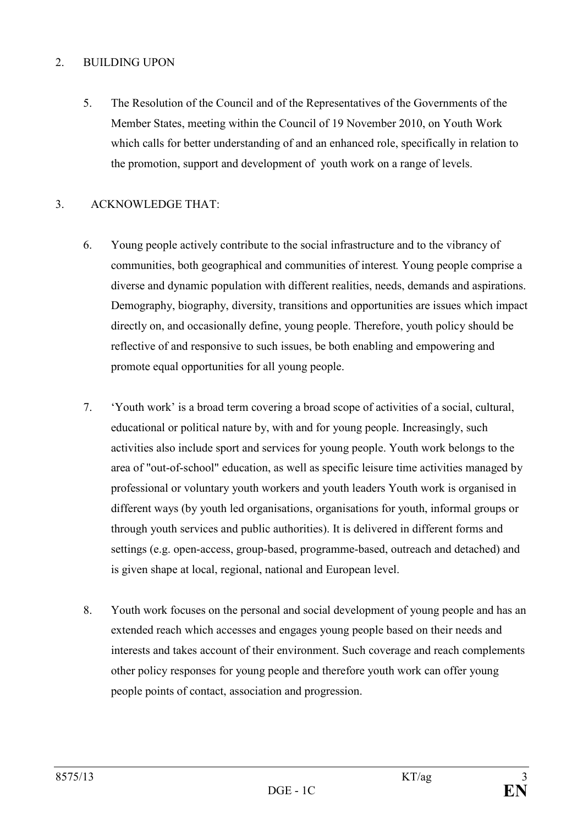#### 2. BUILDING UPON

5. The Resolution of the Council and of the Representatives of the Governments of the Member States, meeting within the Council of 19 November 2010, on Youth Work which calls for better understanding of and an enhanced role, specifically in relation to the promotion, support and development of youth work on a range of levels.

### 3. ACKNOWLEDGE THAT:

- 6. Young people actively contribute to the social infrastructure and to the vibrancy of communities, both geographical and communities of interest*.* Young people comprise a diverse and dynamic population with different realities, needs, demands and aspirations. Demography, biography, diversity, transitions and opportunities are issues which impact directly on, and occasionally define, young people. Therefore, youth policy should be reflective of and responsive to such issues, be both enabling and empowering and promote equal opportunities for all young people.
- 7. 'Youth work' is a broad term covering a broad scope of activities of a social, cultural, educational or political nature by, with and for young people. Increasingly, such activities also include sport and services for young people. Youth work belongs to the area of "out-of-school" education, as well as specific leisure time activities managed by professional or voluntary youth workers and youth leaders Youth work is organised in different ways (by youth led organisations, organisations for youth, informal groups or through youth services and public authorities). It is delivered in different forms and settings (e.g. open-access, group-based, programme-based, outreach and detached) and is given shape at local, regional, national and European level.
- 8. Youth work focuses on the personal and social development of young people and has an extended reach which accesses and engages young people based on their needs and interests and takes account of their environment. Such coverage and reach complements other policy responses for young people and therefore youth work can offer young people points of contact, association and progression.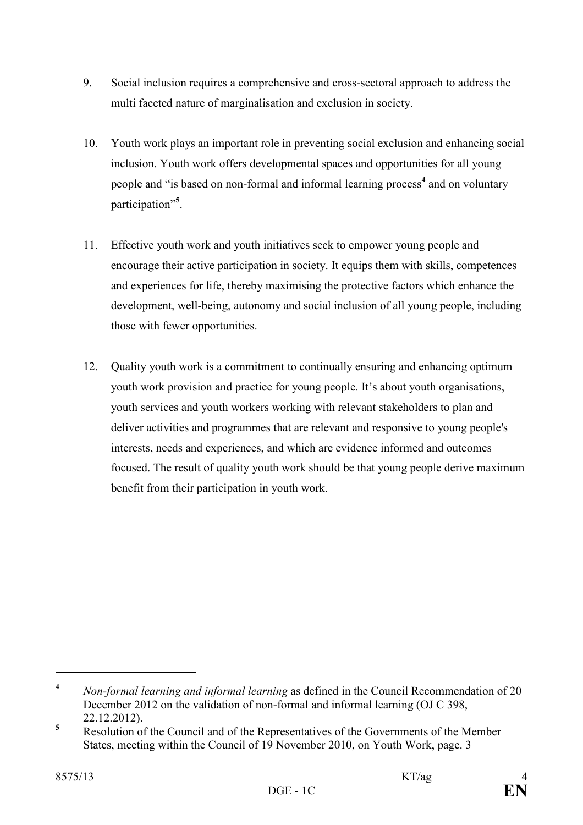- 9. Social inclusion requires a comprehensive and cross-sectoral approach to address the multi faceted nature of marginalisation and exclusion in society.
- 10. Youth work plays an important role in preventing social exclusion and enhancing social inclusion. Youth work offers developmental spaces and opportunities for all young people and "is based on non-formal and informal learning process<sup>4</sup> and on voluntary participation"**<sup>5</sup>** .
- 11. Effective youth work and youth initiatives seek to empower young people and encourage their active participation in society. It equips them with skills, competences and experiences for life, thereby maximising the protective factors which enhance the development, well-being, autonomy and social inclusion of all young people, including those with fewer opportunities.
- 12. Quality youth work is a commitment to continually ensuring and enhancing optimum youth work provision and practice for young people. It's about youth organisations, youth services and youth workers working with relevant stakeholders to plan and deliver activities and programmes that are relevant and responsive to young people's interests, needs and experiences, and which are evidence informed and outcomes focused. The result of quality youth work should be that young people derive maximum benefit from their participation in youth work.

 $\overline{a}$ 

<sup>&</sup>lt;sup>4</sup> *Non-formal learning and informal learning* as defined in the Council Recommendation of 20 December 2012 on the validation of non-formal and informal learning (OJ C 398, 22.12.2012).

**<sup>5</sup>** Resolution of the Council and of the Representatives of the Governments of the Member States, meeting within the Council of 19 November 2010, on Youth Work, page. 3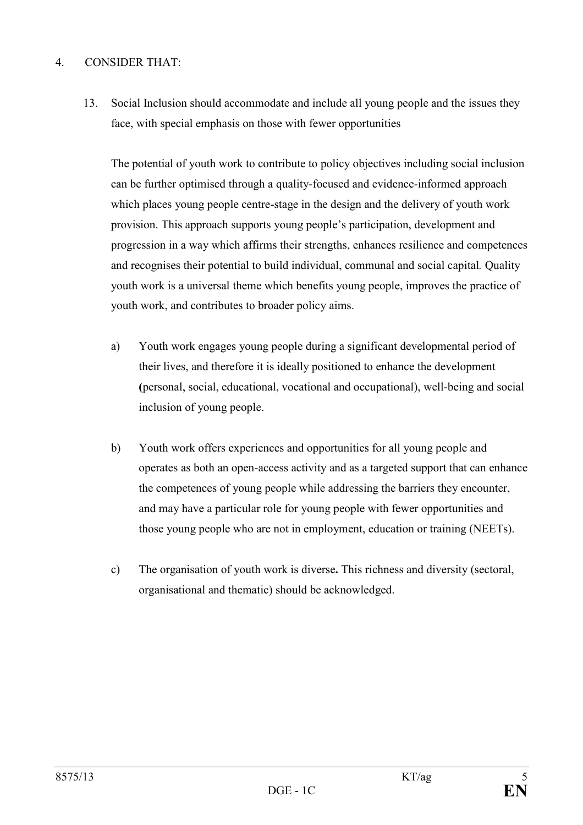### 4. CONSIDER THAT:

13. Social Inclusion should accommodate and include all young people and the issues they face, with special emphasis on those with fewer opportunities

The potential of youth work to contribute to policy objectives including social inclusion can be further optimised through a quality-focused and evidence-informed approach which places young people centre-stage in the design and the delivery of youth work provision. This approach supports young people's participation, development and progression in a way which affirms their strengths, enhances resilience and competences and recognises their potential to build individual, communal and social capital*.* Quality youth work is a universal theme which benefits young people, improves the practice of youth work, and contributes to broader policy aims.

- a) Youth work engages young people during a significant developmental period of their lives, and therefore it is ideally positioned to enhance the development **(**personal, social, educational, vocational and occupational), well-being and social inclusion of young people.
- b) Youth work offers experiences and opportunities for all young people and operates as both an open-access activity and as a targeted support that can enhance the competences of young people while addressing the barriers they encounter, and may have a particular role for young people with fewer opportunities and those young people who are not in employment, education or training (NEETs).
- c) The organisation of youth work is diverse**.** This richness and diversity (sectoral, organisational and thematic) should be acknowledged.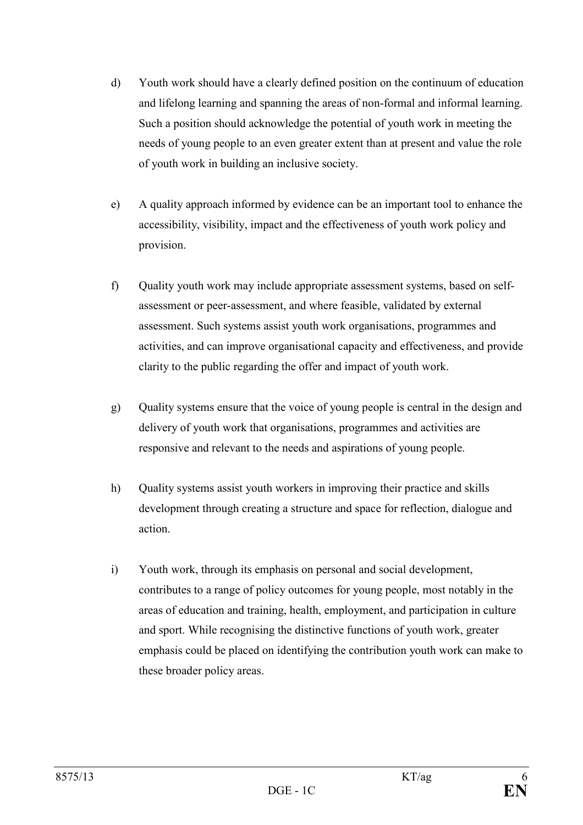- d) Youth work should have a clearly defined position on the continuum of education and lifelong learning and spanning the areas of non-formal and informal learning. Such a position should acknowledge the potential of youth work in meeting the needs of young people to an even greater extent than at present and value the role of youth work in building an inclusive society.
- e) A quality approach informed by evidence can be an important tool to enhance the accessibility, visibility, impact and the effectiveness of youth work policy and provision.
- f) Quality youth work may include appropriate assessment systems, based on selfassessment or peer-assessment, and where feasible, validated by external assessment. Such systems assist youth work organisations, programmes and activities, and can improve organisational capacity and effectiveness, and provide clarity to the public regarding the offer and impact of youth work.
- g) Quality systems ensure that the voice of young people is central in the design and delivery of youth work that organisations, programmes and activities are responsive and relevant to the needs and aspirations of young people.
- h) Quality systems assist youth workers in improving their practice and skills development through creating a structure and space for reflection, dialogue and action.
- i) Youth work, through its emphasis on personal and social development, contributes to a range of policy outcomes for young people, most notably in the areas of education and training, health, employment, and participation in culture and sport. While recognising the distinctive functions of youth work, greater emphasis could be placed on identifying the contribution youth work can make to these broader policy areas.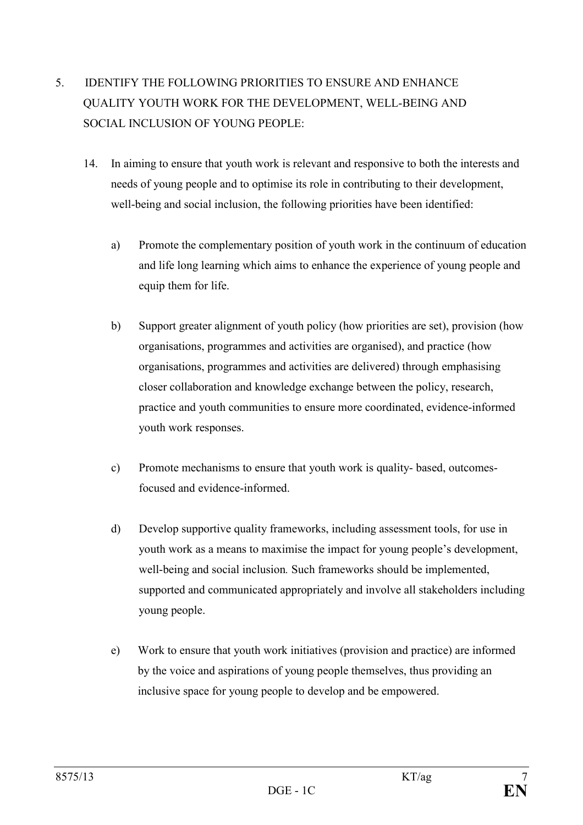# 5. IDENTIFY THE FOLLOWING PRIORITIES TO ENSURE AND ENHANCE QUALITY YOUTH WORK FOR THE DEVELOPMENT, WELL-BEING AND SOCIAL INCLUSION OF YOUNG PEOPLE:

- 14. In aiming to ensure that youth work is relevant and responsive to both the interests and needs of young people and to optimise its role in contributing to their development, well-being and social inclusion, the following priorities have been identified:
	- a) Promote the complementary position of youth work in the continuum of education and life long learning which aims to enhance the experience of young people and equip them for life.
	- b) Support greater alignment of youth policy (how priorities are set), provision (how organisations, programmes and activities are organised), and practice (how organisations, programmes and activities are delivered) through emphasising closer collaboration and knowledge exchange between the policy, research, practice and youth communities to ensure more coordinated, evidence-informed youth work responses.
	- c) Promote mechanisms to ensure that youth work is quality- based, outcomesfocused and evidence-informed.
	- d) Develop supportive quality frameworks, including assessment tools, for use in youth work as a means to maximise the impact for young people's development, well-being and social inclusion*.* Such frameworks should be implemented, supported and communicated appropriately and involve all stakeholders including young people.
	- e) Work to ensure that youth work initiatives (provision and practice) are informed by the voice and aspirations of young people themselves, thus providing an inclusive space for young people to develop and be empowered.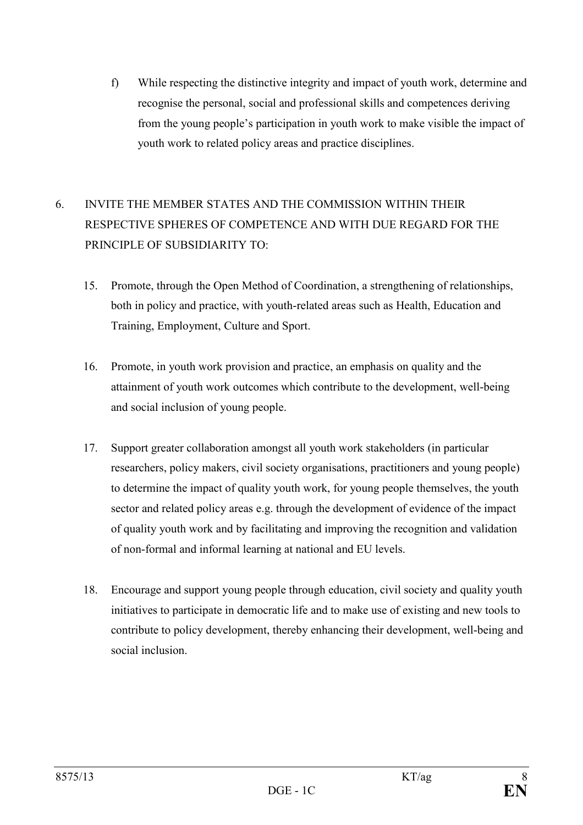f) While respecting the distinctive integrity and impact of youth work, determine and recognise the personal, social and professional skills and competences deriving from the young people's participation in youth work to make visible the impact of youth work to related policy areas and practice disciplines.

# 6. INVITE THE MEMBER STATES AND THE COMMISSION WITHIN THEIR RESPECTIVE SPHERES OF COMPETENCE AND WITH DUE REGARD FOR THE PRINCIPLE OF SUBSIDIARITY TO:

- 15. Promote, through the Open Method of Coordination, a strengthening of relationships, both in policy and practice, with youth-related areas such as Health, Education and Training, Employment, Culture and Sport.
- 16. Promote, in youth work provision and practice, an emphasis on quality and the attainment of youth work outcomes which contribute to the development, well-being and social inclusion of young people.
- 17. Support greater collaboration amongst all youth work stakeholders (in particular researchers, policy makers, civil society organisations, practitioners and young people) to determine the impact of quality youth work, for young people themselves, the youth sector and related policy areas e.g. through the development of evidence of the impact of quality youth work and by facilitating and improving the recognition and validation of non-formal and informal learning at national and EU levels.
- 18. Encourage and support young people through education, civil society and quality youth initiatives to participate in democratic life and to make use of existing and new tools to contribute to policy development, thereby enhancing their development, well-being and social inclusion.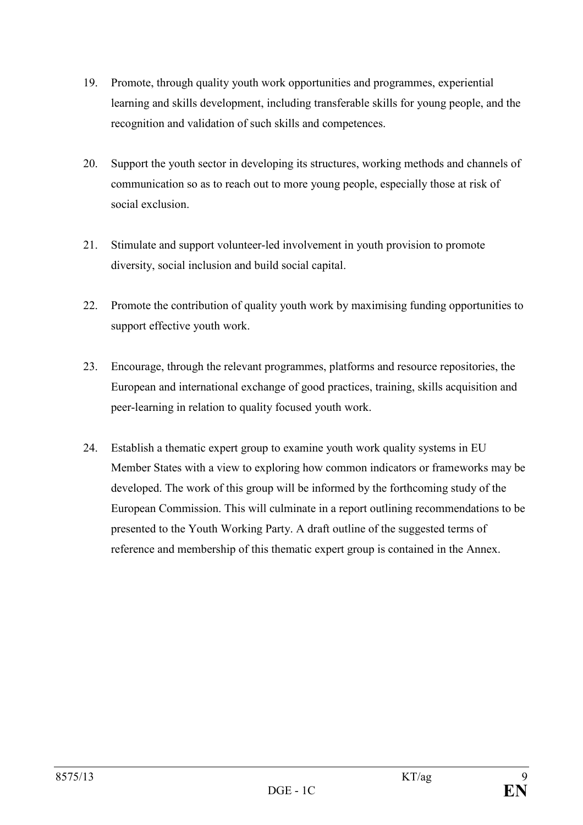- 19. Promote, through quality youth work opportunities and programmes, experiential learning and skills development, including transferable skills for young people, and the recognition and validation of such skills and competences.
- 20. Support the youth sector in developing its structures, working methods and channels of communication so as to reach out to more young people, especially those at risk of social exclusion.
- 21. Stimulate and support volunteer-led involvement in youth provision to promote diversity, social inclusion and build social capital.
- 22. Promote the contribution of quality youth work by maximising funding opportunities to support effective youth work.
- 23. Encourage, through the relevant programmes, platforms and resource repositories, the European and international exchange of good practices, training, skills acquisition and peer-learning in relation to quality focused youth work.
- 24. Establish a thematic expert group to examine youth work quality systems in EU Member States with a view to exploring how common indicators or frameworks may be developed. The work of this group will be informed by the forthcoming study of the European Commission. This will culminate in a report outlining recommendations to be presented to the Youth Working Party. A draft outline of the suggested terms of reference and membership of this thematic expert group is contained in the Annex.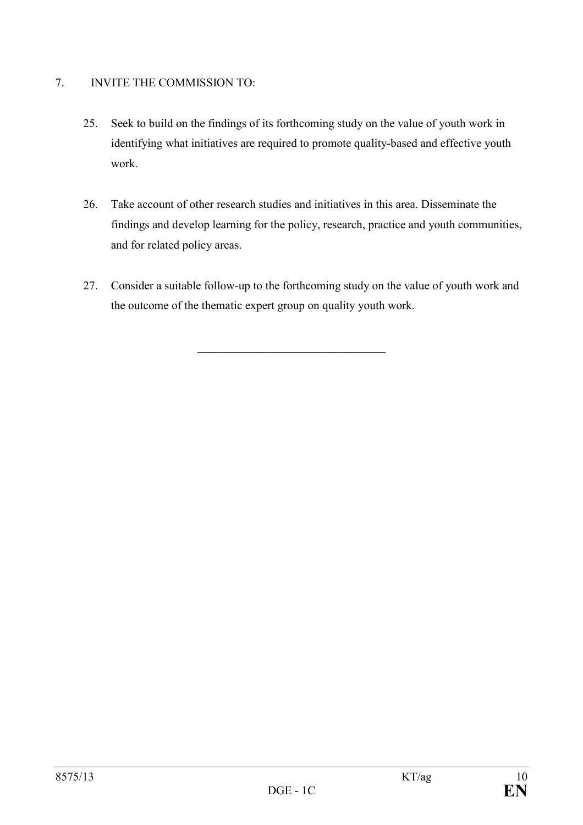## 7. INVITE THE COMMISSION TO:

- 25. Seek to build on the findings of its forthcoming study on the value of youth work in identifying what initiatives are required to promote quality-based and effective youth work.
- 26. Take account of other research studies and initiatives in this area. Disseminate the findings and develop learning for the policy, research, practice and youth communities, and for related policy areas.
- 27. Consider a suitable follow-up to the forthcoming study on the value of youth work and the outcome of the thematic expert group on quality youth work.

**\_\_\_\_\_\_\_\_\_\_\_\_\_\_\_\_\_\_\_\_\_\_\_\_\_\_\_\_\_\_\_\_**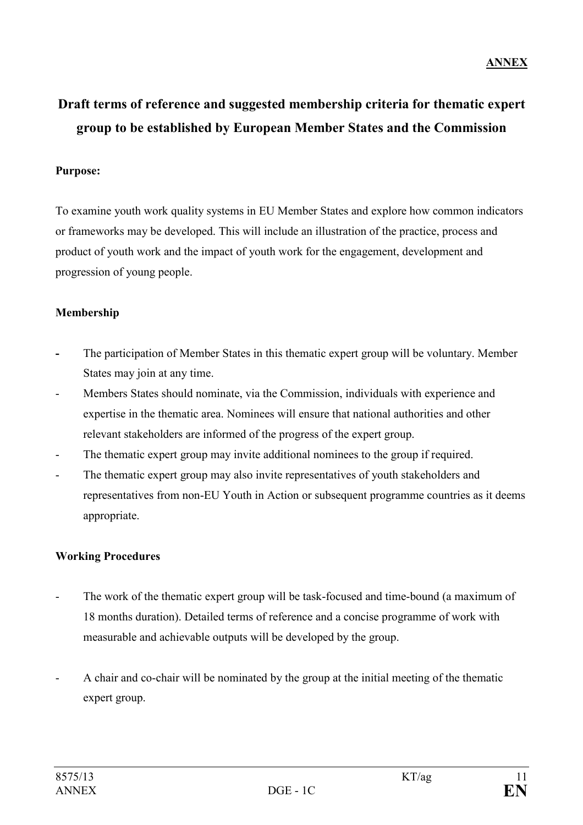# **Draft terms of reference and suggested membership criteria for thematic expert group to be established by European Member States and the Commission**

### **Purpose:**

To examine youth work quality systems in EU Member States and explore how common indicators or frameworks may be developed. This will include an illustration of the practice, process and product of youth work and the impact of youth work for the engagement, development and progression of young people.

## **Membership**

- The participation of Member States in this thematic expert group will be voluntary. Member States may join at any time.
- Members States should nominate, via the Commission, individuals with experience and expertise in the thematic area. Nominees will ensure that national authorities and other relevant stakeholders are informed of the progress of the expert group.
- The thematic expert group may invite additional nominees to the group if required.
- The thematic expert group may also invite representatives of youth stakeholders and representatives from non-EU Youth in Action or subsequent programme countries as it deems appropriate.

## **Working Procedures**

- The work of the thematic expert group will be task-focused and time-bound (a maximum of 18 months duration). Detailed terms of reference and a concise programme of work with measurable and achievable outputs will be developed by the group.
- A chair and co-chair will be nominated by the group at the initial meeting of the thematic expert group.